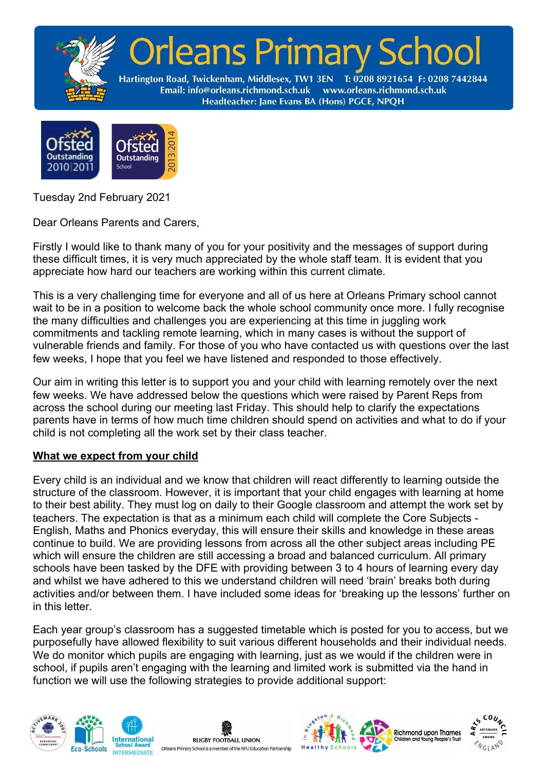



Tuesday 2nd February 2021

Dear Orleans Parents and Carers,

Firstly I would like to thank many of you for your positivity and the messages of support during these difficult times, it is very much appreciated by the whole staff team. It is evident that you appreciate how hard our teachers are working within this current climate.

This is a very challenging time for everyone and all of us here at Orleans Primary school cannot wait to be in a position to welcome back the whole school community once more. I fully recognise the many difficulties and challenges you are experiencing at this time in juggling work commitments and tackling remote learning, which in many cases is without the support of vulnerable friends and family. For those of you who have contacted us with questions over the last few weeks, I hope that you feel we have listened and responded to those effectively.

Our aim in writing this letter is to support you and your child with learning remotely over the next few weeks. We have addressed below the questions which were raised by Parent Reps from across the school during our meeting last Friday. This should help to clarify the expectations parents have in terms of how much time children should spend on activities and what to do if your child is not completing all the work set by their class teacher.

# **What we expect from your child**

Every child is an individual and we know that children will react differently to learning outside the structure of the classroom. However, it is important that your child engages with learning at home to their best ability. They must log on daily to their Google classroom and attempt the work set by teachers. The expectation is that as a minimum each child will complete the Core Subjects - English, Maths and Phonics everyday, this will ensure their skills and knowledge in these areas continue to build. We are providing lessons from across all the other subject areas including PE which will ensure the children are still accessing a broad and balanced curriculum. All primary schools have been tasked by the DFE with providing between 3 to 4 hours of learning every day and whilst we have adhered to this we understand children will need 'brain' breaks both during activities and/or between them. I have included some ideas for 'breaking up the lessons' further on in this letter.

Each year group's classroom has a suggested timetable which is posted for you to access, but we purposefully have allowed flexibility to suit various different households and their individual needs. We do monitor which pupils are engaging with learning, just as we would if the children were in school, if pupils aren't engaging with the learning and limited work is submitted via the hand in function we will use the following strategies to provide additional support:









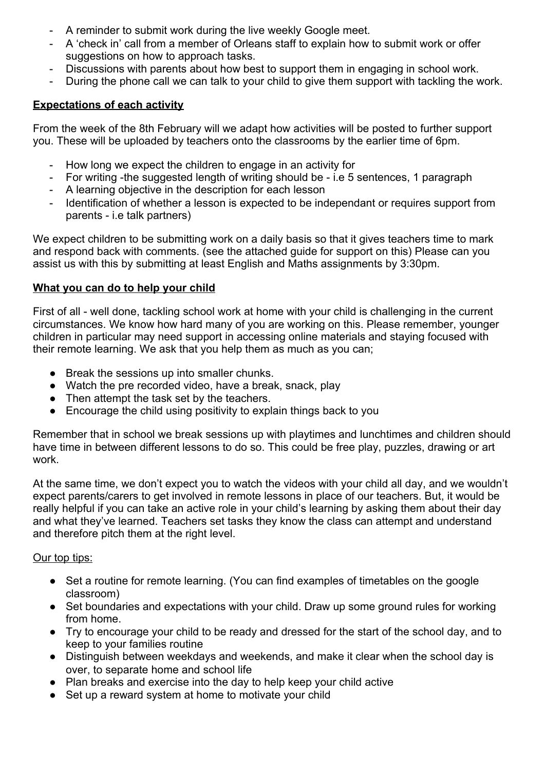- A reminder to submit work during the live weekly Google meet.
- A 'check in' call from a member of Orleans staff to explain how to submit work or offer suggestions on how to approach tasks.
- Discussions with parents about how best to support them in engaging in school work.
- During the phone call we can talk to your child to give them support with tackling the work.

## **Expectations of each activity**

From the week of the 8th February will we adapt how activities will be posted to further support you. These will be uploaded by teachers onto the classrooms by the earlier time of 6pm.

- How long we expect the children to engage in an activity for
- For writing -the suggested length of writing should be i.e 5 sentences, 1 paragraph
- A learning objective in the description for each lesson
- Identification of whether a lesson is expected to be independant or requires support from parents - i.e talk partners)

We expect children to be submitting work on a daily basis so that it gives teachers time to mark and respond back with comments. (see the attached guide for support on this) Please can you assist us with this by submitting at least English and Maths assignments by 3:30pm.

#### **What you can do to help your child**

First of all - well done, tackling school work at home with your child is challenging in the current circumstances. We know how hard many of you are working on this. Please remember, younger children in particular may need support in accessing online materials and staying focused with their remote learning. We ask that you help them as much as you can;

- Break the sessions up into smaller chunks.
- Watch the pre recorded video, have a break, snack, play
- Then attempt the task set by the teachers.
- Encourage the child using positivity to explain things back to you

Remember that in school we break sessions up with playtimes and lunchtimes and children should have time in between different lessons to do so. This could be free play, puzzles, drawing or art work.

At the same time, we don't expect you to watch the videos with your child all day, and we wouldn't expect parents/carers to get involved in remote lessons in place of our teachers. But, it would be really helpful if you can take an active role in your child's learning by asking them about their day and what they've learned. Teachers set tasks they know the class can attempt and understand and therefore pitch them at the right level.

#### Our top tips:

- Set a routine for remote learning. (You can find examples of timetables on the google classroom)
- Set boundaries and expectations with your child. Draw up some ground rules for working from home.
- Try to encourage your child to be ready and dressed for the start of the school day, and to keep to your families routine
- Distinguish between weekdays and weekends, and make it clear when the school day is over, to separate home and school life
- Plan breaks and exercise into the day to help keep your child active
- Set up a reward system at home to motivate your child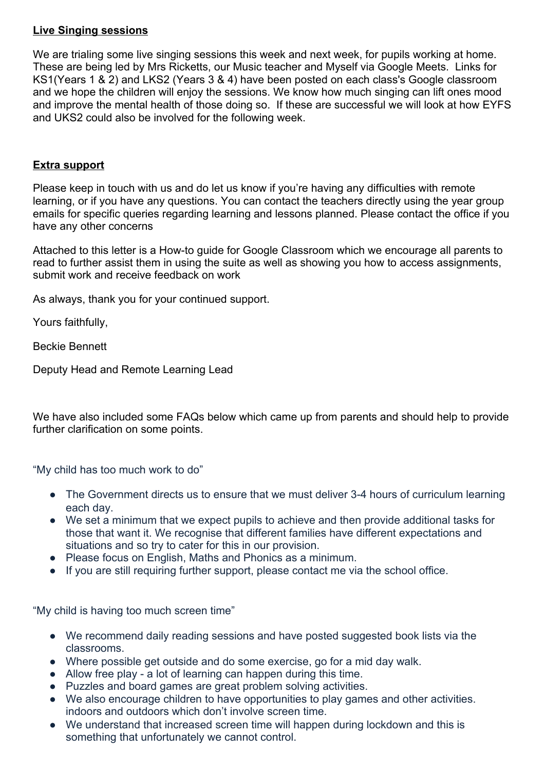## **Live Singing sessions**

We are trialing some live singing sessions this week and next week, for pupils working at home. These are being led by Mrs Ricketts, our Music teacher and Myself via Google Meets. Links for KS1(Years 1 & 2) and LKS2 (Years 3 & 4) have been posted on each class's Google classroom and we hope the children will enjoy the sessions. We know how much singing can lift ones mood and improve the mental health of those doing so. If these are successful we will look at how EYFS and UKS2 could also be involved for the following week.

## **Extra support**

Please keep in touch with us and do let us know if you're having any difficulties with remote learning, or if you have any questions. You can contact the teachers directly using the year group emails for specific queries regarding learning and lessons planned. Please contact the office if you have any other concerns

Attached to this letter is a How-to guide for Google Classroom which we encourage all parents to read to further assist them in using the suite as well as showing you how to access assignments, submit work and receive feedback on work

As always, thank you for your continued support.

Yours faithfully,

Beckie Bennett

Deputy Head and Remote Learning Lead

We have also included some FAQs below which came up from parents and should help to provide further clarification on some points.

"My child has too much work to do"

- The Government directs us to ensure that we must deliver 3-4 hours of curriculum learning each day.
- We set a minimum that we expect pupils to achieve and then provide additional tasks for those that want it. We recognise that different families have different expectations and situations and so try to cater for this in our provision.
- Please focus on English, Maths and Phonics as a minimum.
- If you are still requiring further support, please contact me via the school office.

"My child is having too much screen time"

- We recommend daily reading sessions and have posted suggested book lists via the classrooms.
- Where possible get outside and do some exercise, go for a mid day walk.
- Allow free play a lot of learning can happen during this time.
- Puzzles and board games are great problem solving activities.
- We also encourage children to have opportunities to play games and other activities. indoors and outdoors which don't involve screen time.
- We understand that increased screen time will happen during lockdown and this is something that unfortunately we cannot control.